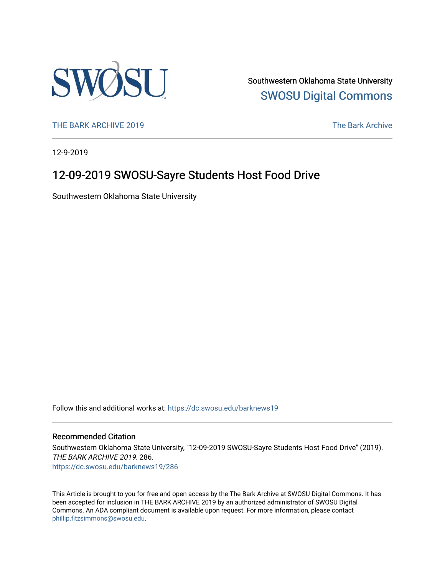

Southwestern Oklahoma State University [SWOSU Digital Commons](https://dc.swosu.edu/) 

[THE BARK ARCHIVE 2019](https://dc.swosu.edu/barknews19) The Bark Archive

12-9-2019

### 12-09-2019 SWOSU-Sayre Students Host Food Drive

Southwestern Oklahoma State University

Follow this and additional works at: [https://dc.swosu.edu/barknews19](https://dc.swosu.edu/barknews19?utm_source=dc.swosu.edu%2Fbarknews19%2F286&utm_medium=PDF&utm_campaign=PDFCoverPages)

#### Recommended Citation

Southwestern Oklahoma State University, "12-09-2019 SWOSU-Sayre Students Host Food Drive" (2019). THE BARK ARCHIVE 2019. 286. [https://dc.swosu.edu/barknews19/286](https://dc.swosu.edu/barknews19/286?utm_source=dc.swosu.edu%2Fbarknews19%2F286&utm_medium=PDF&utm_campaign=PDFCoverPages)

This Article is brought to you for free and open access by the The Bark Archive at SWOSU Digital Commons. It has been accepted for inclusion in THE BARK ARCHIVE 2019 by an authorized administrator of SWOSU Digital Commons. An ADA compliant document is available upon request. For more information, please contact [phillip.fitzsimmons@swosu.edu](mailto:phillip.fitzsimmons@swosu.edu).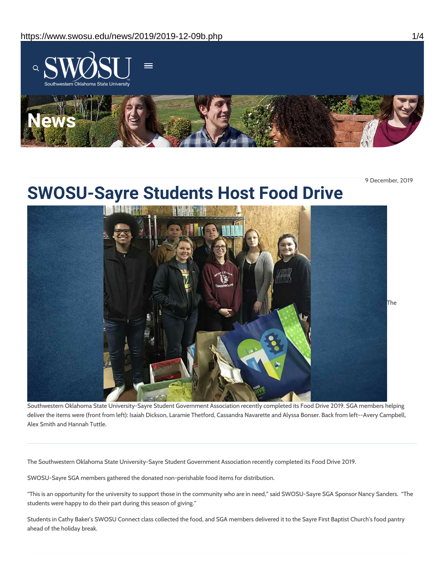

9 December, 2019

# **SWOSU-Sayre Students Host Food Drive**



Southwestern Oklahoma State University-Sayre Student Government Association recently completed its Food Drive 2019. SGA members helping deliver the items were (front from left): Isaiah Dickson, Laramie Thetford, Cassandra Navarette and Alyssa Bonser. Back from left--Avery Campbell, Alex Smith and Hannah Tuttle.

The Southwestern Oklahoma State University-Sayre Student Government Association recently completed its Food Drive 2019.

SWOSU-Sayre SGA members gathered the donated non-perishable food items for distribution.

"This is an opportunity for the university to support those in the community who are in need," said SWOSU-Sayre SGA Sponsor Nancy Sanders. "The students were happy to do their part during this season of giving."

Students in Cathy Baker's SWOSU Connect class collected the food, and SGA members delivered it to the Sayre First Baptist Church's food pantry ahead of the holiday break.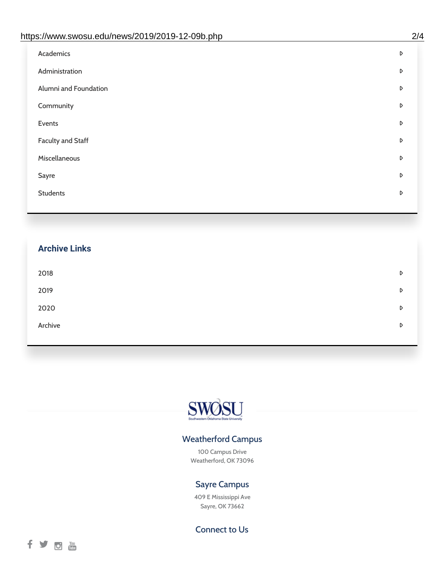| https://www.swosu.edu/news/2019/2019-12-09b.php | 2/4 |
|-------------------------------------------------|-----|
| Academics                                       | D   |
| Administration                                  | D   |
| Alumni and Foundation                           | D   |
| Community                                       | D   |
| Events                                          | D   |
| <b>Faculty and Staff</b>                        | D   |
| Miscellaneous                                   | D   |
| Sayre                                           | D   |
| <b>Students</b>                                 | D   |
|                                                 |     |

## **Archive Links**  $2018$  $2019$ [2020](https://www.swosu.edu/news/2020/index.php)  $\bullet$ [Archive](https://dc.swosu.edu/bark/) **Archive Archive Archive Archive Archive** Archive Archive Archive Archive Archive Archive Archive Archive



### Weatherford Campus

100 Campus Drive Weatherford, OK 73096

### Sayre Campus

409 E Mississippi Ave Sayre, OK 73662

Connect to Us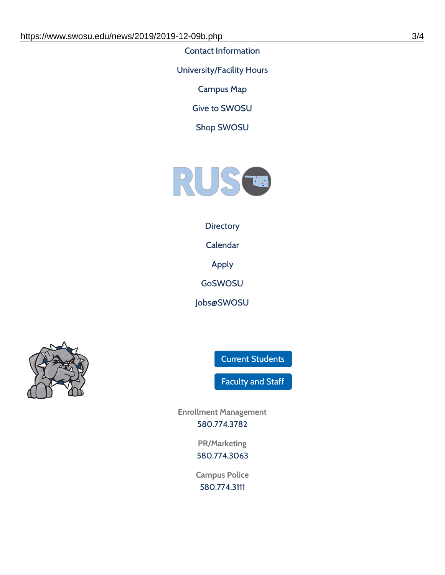Contact [Information](https://www.swosu.edu/about/contact.php)

[University/Facility](https://www.swosu.edu/about/operating-hours.php) Hours

[Campus](https://map.concept3d.com/?id=768#!ct/10964,10214,10213,10212,10205,10204,10203,10202,10136,10129,10128,0,31226,10130,10201,10641,0) Map

Give to [SWOSU](https://standingfirmly.com/donate)

Shop [SWOSU](https://shopswosu.merchorders.com/)



### **[Directory](https://www.swosu.edu/directory/index.php)**

[Calendar](https://eventpublisher.dudesolutions.com/swosu/)

[Apply](https://www.swosu.edu/admissions/apply-to-swosu.php)

[GoSWOSU](https://qlsso.quicklaunchsso.com/home/1267)

[Jobs@SWOSU](https://swosu.csod.com/ux/ats/careersite/1/home?c=swosu)



Current [Students](https://bulldog.swosu.edu/index.php)

[Faculty](https://bulldog.swosu.edu/faculty-staff/index.php) and Staff

**Enrollment Management** [580.774.3782](tel:5807743782)

> **PR/Marketing** [580.774.3063](tel:5807743063)

**Campus Police** [580.774.3111](tel:5807743111)